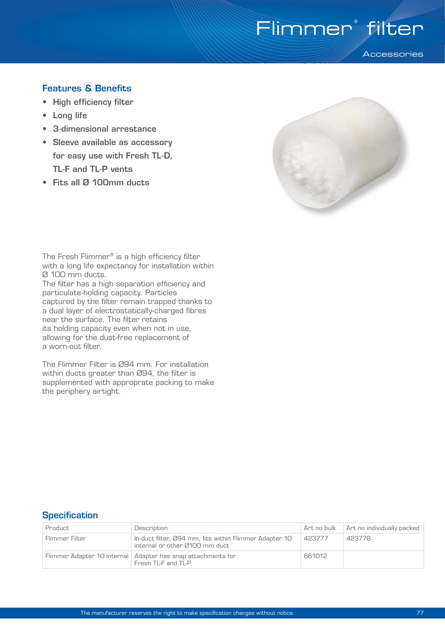# Flimmer<sup>®</sup> filter

**Accessories** 

## Features & Benefits

- High efficiency filter
- Long life
- 3-dimensional arrestance
- Sleeve available as accessory for easy use with Fresh TL-D, TL-F and TL-P vents
- Fits all Ø 100mm ducts



The Fresh Flimmer® is a high efficiency filter with a long life expectancy for installation within Ø 100 mm ducts.

The filter has a high separation efficiency and particulate-holding capacity. Particles captured by the filter remain trapped thanks to a dual layer of electrostatically-charged fibres near the surface. The filter retains its holding capacity even when not in use, allowing for the dust-free replacement of a worn-out filter.

The Flimmer Filter is Ø94 mm. For installation within ducts greater than Ø94, the filter is supplemented with approprate packing to make the periphery airtight.

## **Specification**

| Product        | Description                                                                              | Art no bulk | Art no individually packed |
|----------------|------------------------------------------------------------------------------------------|-------------|----------------------------|
| Flimmer Filter | In-duct filter, Ø94 mm, fits within Flimmer Adapter 10<br>internal or other Ø100 mm duct | 423777      | 423778                     |
|                | Flimmer Adapter 10 internal   Adapter has snap attachments for<br>Fresh TL-F and TL-P    | 661012      |                            |